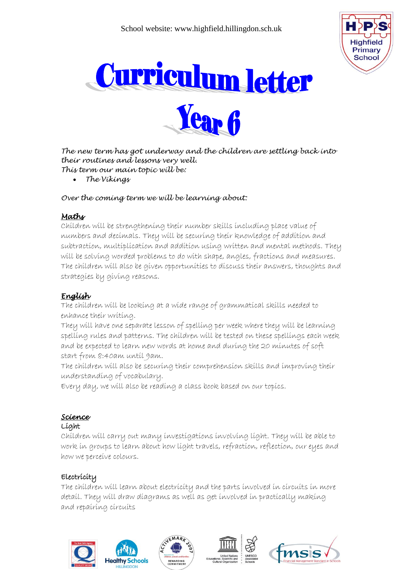





*The new term has got underway and the children are settling back into their routines and lessons very well. This term our main topic will be:*

*The Vikings*

#### *Over the coming term we will be learning about:*

### *Maths*

Children will be strengthening their number skills including place value of numbers and decimals. They will be securing their knowledge of addition and subtraction, multiplication and addition using written and mental methods. They will be solving worded problems to do with shape, angles, fractions and measures. The children will also be given opportunities to discuss their answers, thoughts and strategies by giving reasons.

# *English*

The children will be looking at a wide range of grammatical skills needed to enhance their writing.

They will have one separate lesson of spelling per week where they will be learning spelling rules and patterns. The children will be tested on these spellings each week and be expected to learn new words at home and during the 20 minutes of soft start from 8:40am until 9am.

The children will also be securing their comprehension skills and improving their understanding of vocabulary.

Every day, we will also be reading a class book based on our topics.

# *Science*

#### Light

Children will carry out many investigations involving light. They will be able to work in groups to learn about how light travels, refraction, reflection, our eyes and how we perceive colours.

# Electricity

The children will learn about electricity and the parts involved in circuits in more detail. They will draw diagrams as well as get involved in practically making and repairing circuits







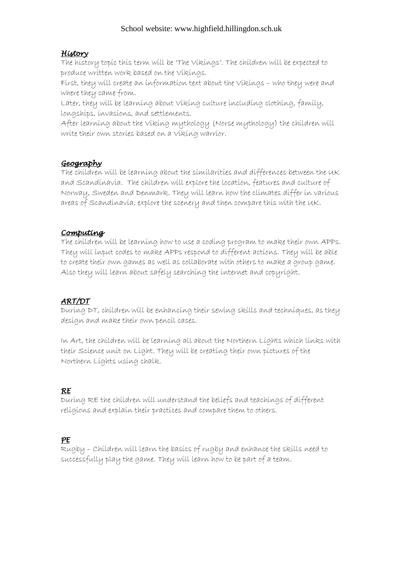#### School website: www.highfield.hillingdon.sch.uk

#### *History*

The history topic this term will be 'The Vikings'. The children will be expected to produce written work based on the Vikings.

First, they will create an information text about the Vikings – who they were and where they came from.

Later, they will be learning about Viking culture including clothing, family, longships, invasions, and settlements.

After learning about the Viking mythology (Norse mythology) the children will write their own stories based on a Viking warrior.

### *Geography*

The children will be learning about the similarities and differences between the UK and Scandinavia. The children will explore the location, features and culture of Norway, Sweden and Denmark. They will learn how the climates differ in various areas of Scandinavia, explore the scenery and then compare this with the UK.

### *Computing*

The children will be learning how to use a coding program to make their own APPs. They will input codes to make APPs respond to different actions. They will be able to create their own games as well as collaborate with others to make a group game. Also they will learn about safely searching the internet and copyright.

# *ART/DT*

During DT, children will be enhancing their sewing skills and techniques, as they design and make their own pencil cases.

In Art, the children will be learning all about the Northern Lights which links with their Science unit on Light. They will be creating their own pictures of the Northern Lights using chalk.

# *RE*

During RE the children will understand the beliefs and teachings of different religions and explain their practices and compare them to others.

# *PE*

Rugby – Children will learn the basics of rugby and enhance the skills need to successfully play the game. They will learn how to be part of a team.